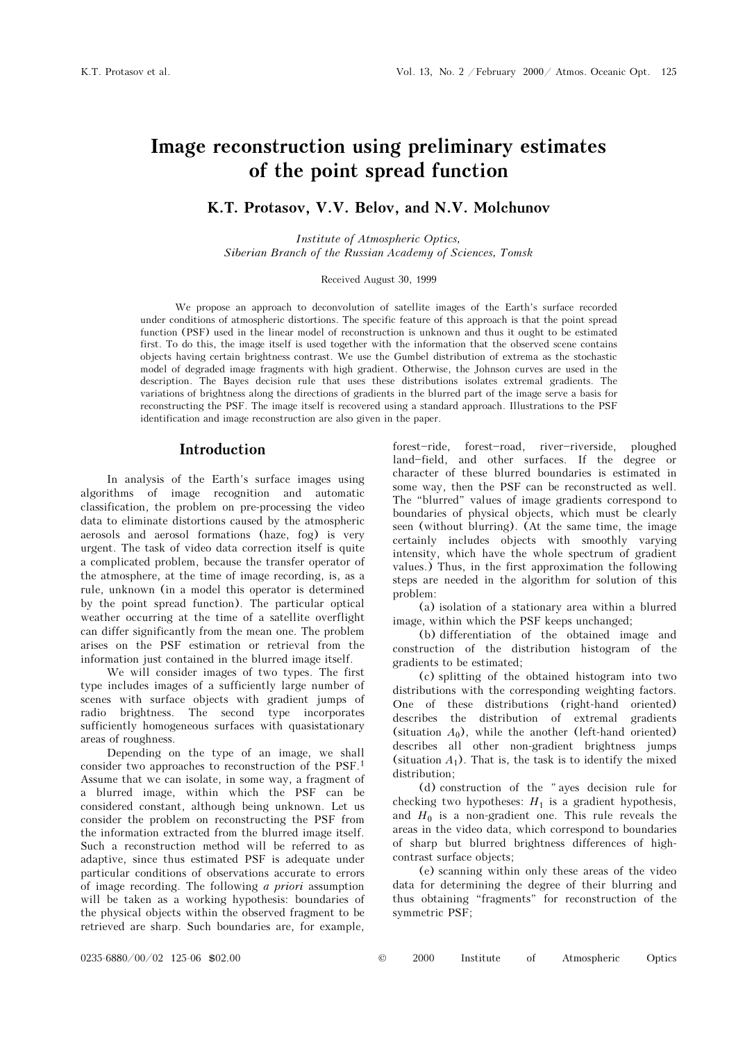# Image reconstruction using preliminary estimates of the point spread function

### K.T. Protasov, V.V. Belov, and N.V. Molchunov

Institute of Atmospheric Optics, Siberian Branch of the Russian Academy of Sciences, Tomsk

#### Received August 30, 1999

We propose an approach to deconvolution of satellite images of the Earth's surface recorded under conditions of atmospheric distortions. The specific feature of this approach is that the point spread function (PSF) used in the linear model of reconstruction is unknown and thus it ought to be estimated first. To do this, the image itself is used together with the information that the observed scene contains objects having certain brightness contrast. We use the Gumbel distribution of extrema as the stochastic model of degraded image fragments with high gradient. Otherwise, the Johnson curves are used in the description. The Bayes decision rule that uses these distributions isolates extremal gradients. The variations of brightness along the directions of gradients in the blurred part of the image serve a basis for reconstructing the PSF. The image itself is recovered using a standard approach. Illustrations to the PSF identification and image reconstruction are also given in the paper.

### Introduction

In analysis of the Earth's surface images using algorithms of image recognition and automatic classification, the problem on pre-processing the video data to eliminate distortions caused by the atmospheric aerosols and aerosol formations (haze, fog) is very urgent. The task of video data correction itself is quite a complicated problem, because the transfer operator of the atmosphere, at the time of image recording, is, as a rule, unknown (in a model this operator is determined by the point spread function). The particular optical weather occurring at the time of a satellite overflight can differ significantly from the mean one. The problem arises on the PSF estimation or retrieval from the information just contained in the blurred image itself.

We will consider images of two types. The first type includes images of a sufficiently large number of scenes with surface objects with gradient jumps of radio brightness. The second type incorporates sufficiently homogeneous surfaces with quasistationary areas of roughness.

Depending on the type of an image, we shall consider two approaches to reconstruction of the PSF.<sup>1</sup> Assume that we can isolate, in some way, a fragment of a blurred image, within which the PSF can be considered constant, although being unknown. Let us consider the problem on reconstructing the PSF from the information extracted from the blurred image itself. Such a reconstruction method will be referred to as adaptive, since thus estimated PSF is adequate under particular conditions of observations accurate to errors of image recording. The following a priori assumption will be taken as a working hypothesis: boundaries of the physical objects within the observed fragment to be retrieved are sharp. Such boundaries are, for example,

forest-ride, forest-road, river-riverside, ploughed land-field, and other surfaces. If the degree or character of these blurred boundaries is estimated in some way, then the PSF can be reconstructed as well. The "blurred" values of image gradients correspond to boundaries of physical objects, which must be clearly seen (without blurring). (At the same time, the image certainly includes objects with smoothly varying intensity, which have the whole spectrum of gradient values.) Thus, in the first approximation the following steps are needed in the algorithm for solution of this problem:

(a) isolation of a stationary area within a blurred image, within which the PSF keeps unchanged;

(b) differentiation of the obtained image and construction of the distribution histogram of the gradients to be estimated;

(c) splitting of the obtained histogram into two distributions with the corresponding weighting factors. One of these distributions (right-hand oriented) describes the distribution of extremal gradients (situation  $A_0$ ), while the another (left-hand oriented) describes all other non-gradient brightness jumps (situation  $A_1$ ). That is, the task is to identify the mixed distribution;

(d) construction of the "ayes decision rule for checking two hypotheses:  $H_1$  is a gradient hypothesis, and  $H_0$  is a non-gradient one. This rule reveals the areas in the video data, which correspond to boundaries of sharp but blurred brightness differences of highcontrast surface objects;

(e) scanning within only these areas of the video data for determining the degree of their blurring and thus obtaining "fragments" for reconstruction of the symmetric PSF;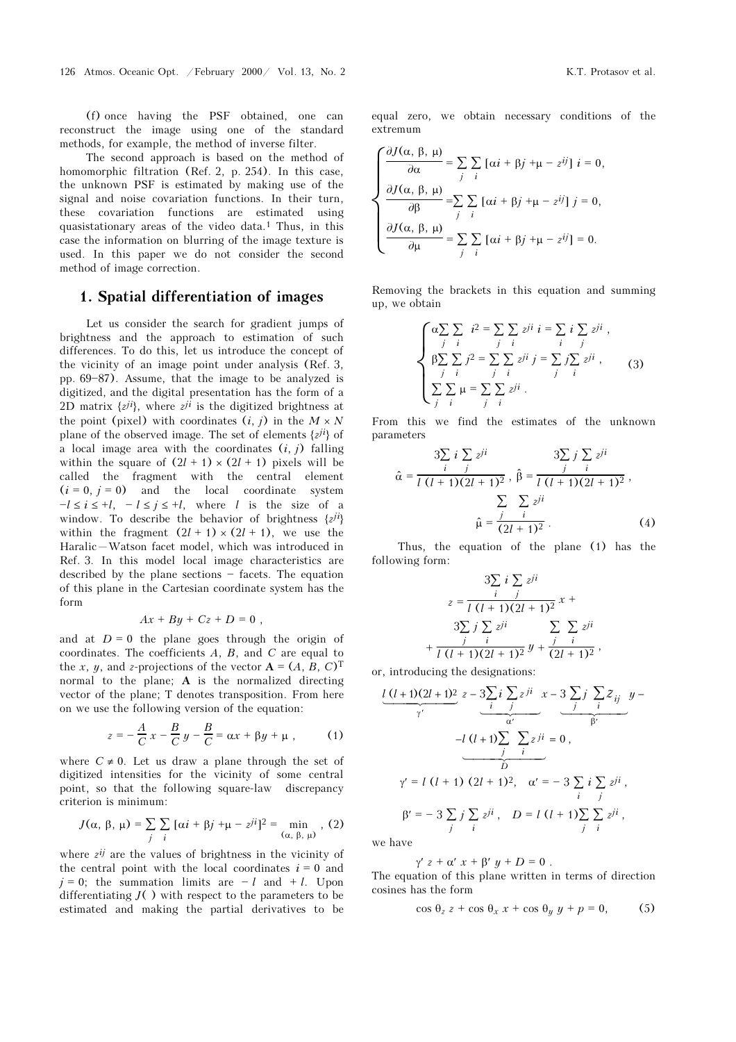(f) once having the PSF obtained, one can reconstruct the image using one of the standard methods, for example, the method of inverse filter.

The second approach is based on the method of homomorphic filtration (Ref. 2, p. 254). In this case, the unknown PSF is estimated by making use of the signal and noise covariation functions. In their turn, these covariation functions are estimated using quasistationary areas of the video data.1 Thus, in this case the information on blurring of the image texture is used. In this paper we do not consider the second method of image correction.

### 1. Spatial differentiation of images

Let us consider the search for gradient jumps of brightness and the approach to estimation of such differences. To do this, let us introduce the concept of the vicinity of an image point under analysis (Ref. 3, pp.  $69-87$ ). Assume, that the image to be analyzed is digitized, and the digital presentation has the form of a 2D matrix  $\{z^{ji}\}$ , where  $z^{ji}$  is the digitized brightness at the point (pixel) with coordinates  $(i, j)$  in the  $M \times N$ plane of the observed image. The set of elements  $\{z^{ji}\}$  of a local image area with the coordinates  $(i, j)$  falling within the square of  $(2l + 1) \times (2l + 1)$  pixels will be called the fragment with the central element  $(i = 0, j = 0)$  and the local coordinate system  $-l \le i \le +l$ ,  $-l \le j \le +l$ , where l is the size of a window. To describe the behavior of brightness  $\{z^{ji}\}$ within the fragment  $(2l + 1) \times (2l + 1)$ , we use the Haralic-Watson facet model, which was introduced in Ref. 3. In this model local image characteristics are described by the plane sections  $-$  facets. The equation of this plane in the Cartesian coordinate system has the form

$$
Ax + By + Cz + D = 0,
$$

and at  $D = 0$  the plane goes through the origin of coordinates. The coefficients A, B, and C are equal to the x, y, and z-projections of the vector  $A = (A, B, C)^T$ normal to the plane; A is the normalized directing vector of the plane; T denotes transposition. From here on we use the following version of the equation:

$$
z = -\frac{A}{C}x - \frac{B}{C}y - \frac{B}{C} = \alpha x + \beta y + \mu , \qquad (1)
$$

where  $C \neq 0$ . Let us draw a plane through the set of digitized intensities for the vicinity of some central point, so that the following square-law discrepancy criterion is minimum:

$$
J(\alpha, \beta, \mu) = \sum_{j} \sum_{i} [\alpha i + \beta j + \mu - z^{ji}]^{2} = \min_{(\alpha, \beta, \mu)} (2)
$$

where  $z^{ij}$  are the values of brightness in the vicinity of the central point with the local coordinates  $i = 0$  and  $j = 0$ ; the summation limits are  $-l$  and  $+l$ . Upon differentiating  $J()$  with respect to the parameters to be estimated and making the partial derivatives to be

equal zero, we obtain necessary conditions of the extremum

$$
\begin{cases}\n\frac{\partial J(\alpha, \beta, \mu)}{\partial \alpha} = \sum_{j} \sum_{i} [\alpha i + \beta j + \mu - z^{ij}] \ i = 0, \\
\frac{\partial J(\alpha, \beta, \mu)}{\partial \beta} = \sum_{j} \sum_{i} [\alpha i + \beta j + \mu - z^{ij}] \ j = 0, \\
\frac{\partial J(\alpha, \beta, \mu)}{\partial \mu} = \sum_{j} \sum_{i} [\alpha i + \beta j + \mu - z^{ij}] = 0.\n\end{cases}
$$

Removing the brackets in this equation and summing up, we obtain

$$
\begin{cases}\n\alpha \sum_{j} \sum_{i} i^{2} = \sum_{j} \sum_{i} z^{ji} i = \sum_{i} i \sum_{j} z^{ji}, \\
\beta \sum_{j} \sum_{i} j^{2} = \sum_{j} \sum_{i} z^{ji} j = \sum_{j} j \sum_{i} z^{ji}, \\
\sum_{j} \sum_{i} \mu = \sum_{j} \sum_{i} z^{ji}.\n\end{cases} (3)
$$

From this we find the estimates of the unknown parameters

$$
\hat{\alpha} = \frac{3\sum_{i} i \sum_{j} z^{ji}}{l (l + 1)(2l + 1)^{2}}, \hat{\beta} = \frac{j}{l (l + 1)(2l + 1)^{2}},
$$
  

$$
\sum_{i} \sum_{j} z^{ji}
$$
  

$$
\hat{\mu} = \frac{j}{(2l + 1)^{2}}.
$$
 (4)

Thus, the equation of the plane (1) has the following form:

$$
z = \frac{3\sum_{i} i \sum_{j} z^{ji}}{l (l + 1)(2l + 1)^{2}} x +
$$

$$
3\sum_{j} j \sum_{i} z^{ji} \sum_{j} \sum_{i} z^{ji}
$$

$$
+ \frac{j}{l (l + 1)(2l + 1)^{2}} y + \frac{j}{(2l + 1)^{2}},
$$

or, introducing the designations:

$$
\underbrace{l(l+1)(2l+1)^2}_{\gamma'} z - \underbrace{3\sum_{i} i \sum_{j} z^{ji}}_{\alpha'} x - 3 \underbrace{3\sum_{j} j \sum_{i} z_{ij}}_{\beta'}
$$
\n
$$
-l(l+1)\sum_{j} \sum_{i} z^{ji} = 0,
$$
\n
$$
\gamma' = l(l+1) (2l+1)^2, \quad \alpha' = -3 \sum_{i} i \sum_{j} z^{ji},
$$
\n
$$
\beta' = -3 \sum_{j} j \sum_{i} z^{ji}, \quad D = l(l+1)\sum_{j} \sum_{i} z^{ji},
$$

we have

$$
\gamma' z + \alpha' x + \beta' y + D = 0.
$$

The equation of this plane written in terms of direction cosines has the form

$$
\cos \theta_z \, z + \cos \theta_x \, x + \cos \theta_y \, y + p = 0,\tag{5}
$$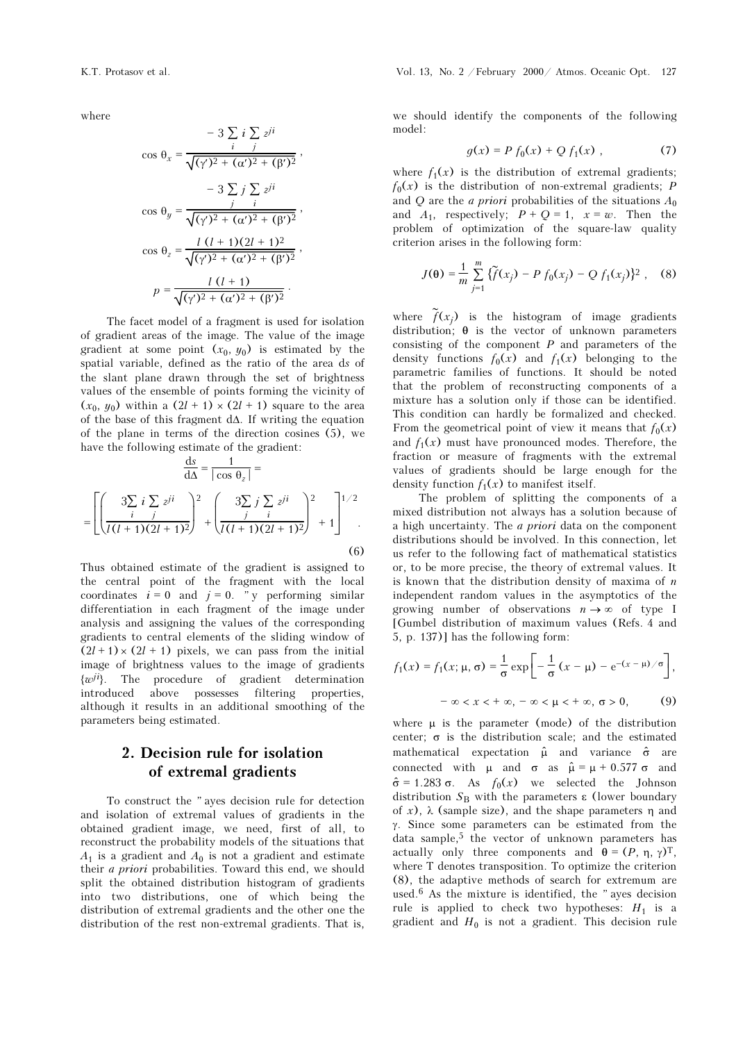where

$$
-3\sum_{i} i\sum_{j} z^{ji}
$$
  
\n
$$
\cos \theta_{x} = \frac{i}{\sqrt{(\gamma')^{2} + (\alpha')^{2} + (\beta')^{2}}},
$$
  
\n
$$
-3\sum_{j} j\sum_{i} z^{ji}
$$
  
\n
$$
\cos \theta_{y} = \frac{j}{\sqrt{(\gamma')^{2} + (\alpha')^{2} + (\beta')^{2}}},
$$
  
\n
$$
\cos \theta_{z} = \frac{l(l+1)(2l+1)^{2}}{\sqrt{(\gamma')^{2} + (\alpha')^{2} + (\beta')^{2}}},
$$
  
\n
$$
p = \frac{l(l+1)}{\sqrt{(\gamma')^{2} + (\alpha')^{2} + (\beta')^{2}}}.
$$

The facet model of a fragment is used for isolation of gradient areas of the image. The value of the image gradient at some point  $(x_0, y_0)$  is estimated by the spatial variable, defined as the ratio of the area ds of the slant plane drawn through the set of brightness values of the ensemble of points forming the vicinity of  $(x_0, y_0)$  within a  $(2l + 1) \times (2l + 1)$  square to the area of the base of this fragment dΔ. If writing the equation of the plane in terms of the direction cosines (5), we have the following estimate of the gradient:

$$
\frac{ds}{d\Delta} = \frac{1}{|\cos \theta_z|} =
$$
  
= 
$$
\left[ \left( \frac{3\sum_{i} i \sum_{j} z^{ji}}{I(I+1)(2I+1)^2} \right)^2 + \left( \frac{3\sum_{j} j \sum_{i} z^{ji}}{I(I+1)(2I+1)^2} \right)^2 + 1 \right]^{1/2}
$$
 (6)

Thus obtained estimate of the gradient is assigned to the central point of the fragment with the local coordinates  $i = 0$  and  $j = 0$ . "y performing similar differentiation in each fragment of the image under analysis and assigning the values of the corresponding gradients to central elements of the sliding window of  $(2l + 1) \times (2l + 1)$  pixels, we can pass from the initial image of brightness values to the image of gradients  $\{\omega^{ji}\}$ . The procedure of gradient determination introduced above possesses filtering properties, although it results in an additional smoothing of the parameters being estimated.

## 2. Decision rule for isolation of extremal gradients

To construct the "ayes decision rule for detection and isolation of extremal values of gradients in the obtained gradient image, we need, first of all, to reconstruct the probability models of the situations that  $A_1$  is a gradient and  $A_0$  is not a gradient and estimate their *a priori* probabilities. Toward this end, we should split the obtained distribution histogram of gradients into two distributions, one of which being the distribution of extremal gradients and the other one the distribution of the rest non-extremal gradients. That is,

we should identify the components of the following model:

$$
g(x) = P f_0(x) + Q f_1(x) , \qquad (7)
$$

where  $f_1(x)$  is the distribution of extremal gradients;  $f_0(x)$  is the distribution of non-extremal gradients; P and Q are the *a priori* probabilities of the situations  $A_0$ and  $A_1$ , respectively;  $P + Q = 1$ ,  $x = w$ . Then the problem of optimization of the square-law quality criterion arises in the following form:

$$
J(\theta) = \frac{1}{m} \sum_{j=1}^{m} \{ \tilde{f}(x_j) - P f_0(x_j) - Q f_1(x_j) \}^2 , \quad (8)
$$

where  $\tilde{f}(x_j)$  is the histogram of image gradients distribution; θ is the vector of unknown parameters consisting of the component  $P$  and parameters of the density functions  $f_0(x)$  and  $f_1(x)$  belonging to the parametric families of functions. It should be noted that the problem of reconstructing components of a mixture has a solution only if those can be identified. This condition can hardly be formalized and checked. From the geometrical point of view it means that  $f_0(x)$ and  $f_1(x)$  must have pronounced modes. Therefore, the fraction or measure of fragments with the extremal values of gradients should be large enough for the density function  $f_1(x)$  to manifest itself.

The problem of splitting the components of a mixed distribution not always has a solution because of a high uncertainty. The a priori data on the component distributions should be involved. In this connection, let us refer to the following fact of mathematical statistics or, to be more precise, the theory of extremal values. It is known that the distribution density of maxima of  $n$ independent random values in the asymptotics of the growing number of observations  $n \to \infty$  of type I [Gumbel distribution of maximum values (Refs. 4 and 5, p. 137)] has the following form:

$$
f_1(x) = f_1(x; \mu, \sigma) = \frac{1}{\sigma} \exp\left[-\frac{1}{\sigma} (x - \mu) - e^{-(x - \mu)/\sigma}\right],
$$

$$
-\infty < x < +\infty, -\infty < \mu < +\infty, \sigma > 0,
$$
 (9)

where  $\mu$  is the parameter (mode) of the distribution center;  $\sigma$  is the distribution scale; and the estimated mathematical expectation  $\hat{\mu}$  and variance  $\hat{\sigma}$  are connected with μ and  $\sigma$  as  $\hat{\mu} = \mu + 0.577 \sigma$  and  $\hat{\sigma} = 1.283 \sigma$ . As  $f_0(x)$  we selected the Johnson distribution  $S_B$  with the parameters  $\varepsilon$  (lower boundary of x), λ (sample size), and the shape parameters η and γ. Since some parameters can be estimated from the data sample,<sup>5</sup> the vector of unknown parameters has actually only three components and  $\theta = (P, \eta, \gamma)^T$ , where T denotes transposition. To optimize the criterion (8), the adaptive methods of search for extremum are used. $6$  As the mixture is identified, the "ayes decision rule is applied to check two hypotheses:  $H_1$  is a gradient and  $H_0$  is not a gradient. This decision rule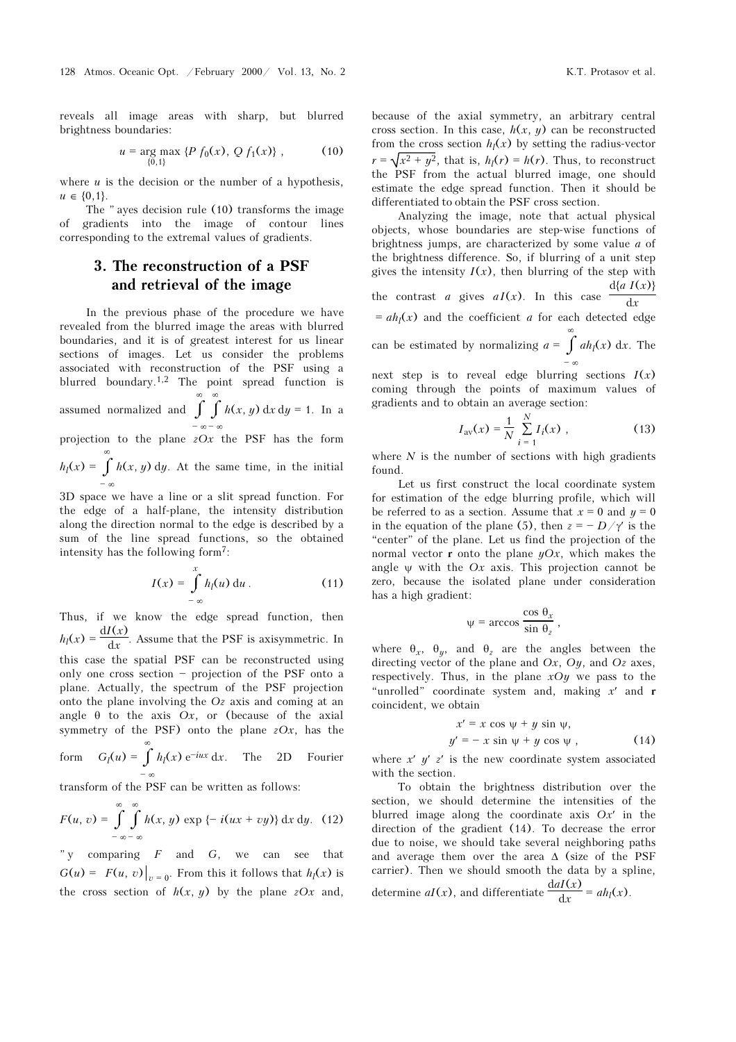reveals all image areas with sharp, but blurred brightness boundaries:

$$
u = \underset{\{0,1\}}{\arg \max} \{ P f_0(x), Q f_1(x) \}, \tag{10}
$$

where  $u$  is the decision or the number of a hypothesis,  $u \in \{0,1\}.$ 

The  $"$  ayes decision rule (10) transforms the image of gradients into the image of contour lines corresponding to the extremal values of gradients.

### 3. The reconstruction of a PSF and retrieval of the image

In the previous phase of the procedure we have revealed from the blurred image the areas with blurred boundaries, and it is of greatest interest for us linear sections of images. Let us consider the problems associated with reconstruction of the PSF using a blurred boundary.1,2 The point spread function is assumed normalized and  $\int_{a}^{\infty} \int_{a}^{\infty}$  $-\infty - \infty$  $h(x, y) dx dy = 1$ . In a projection to the plane  $zOx$  the PSF has the form  $h_l(x) = \int_0^\infty$  $h(x, y)$  dy. At the same time, in the initial

 $-$  ∞ 3D space we have a line or a slit spread function. For the edge of a half-plane, the intensity distribution along the direction normal to the edge is described by a sum of the line spread functions, so the obtained intensity has the following form7:

$$
I(x) = \int_{-\infty}^{x} h_l(u) \, \mathrm{d}u \,. \tag{11}
$$

Thus, if we know the edge spread function, then  $h_l(x) = \frac{dI(x)}{dx}$ . Assume that the PSF is axisymmetric. In this case the spatial PSF can be reconstructed using only one cross section  $-$  projection of the PSF onto a plane. Actually, the spectrum of the PSF projection onto the plane involving the Oz axis and coming at an angle  $\theta$  to the axis Ox, or (because of the axial symmetry of the PSF) onto the plane  $zOx$ , has the form  $G_l(u) = \int_0^{\infty}$ 

 $-$  ∞  $h_l(x) e^{-iux} dx$ . The 2D Fourier

transform of the PSF can be written as follows:

$$
F(u, v) = \int_{-\infty-\infty}^{\infty} \int_{-\infty}^{\infty} h(x, y) \exp \{-i(ux + vy)\} dx dy. (12)
$$

"y comparing  $F$  and  $G$ , we can see that  $G(u) = F(u, v) \big|_{v = 0}$ . From this it follows that  $h_l(x)$  is the cross section of  $h(x, y)$  by the plane  $zOx$  and, because of the axial symmetry, an arbitrary central cross section. In this case,  $h(x, y)$  can be reconstructed from the cross section  $h_l(x)$  by setting the radius-vector  $r = \sqrt{x^2 + y^2}$ , that is,  $h_1(r) = h(r)$ . Thus, to reconstruct the PSF from the actual blurred image, one should estimate the edge spread function. Then it should be differentiated to obtain the PSF cross section.

Analyzing the image, note that actual physical objects, whose boundaries are step-wise functions of brightness jumps, are characterized by some value a of the brightness difference. So, if blurring of a unit step gives the intensity  $I(x)$ , then blurring of the step with the contrast *a* gives  $aI(x)$ . In this case  $\frac{d{a I(x)}}{dx}$ 

 $dx$  $= ah<sub>l</sub>(x)$  and the coefficient *a* for each detected edge can be estimated by normalizing  $a = \int_0^{\infty}$  $-$  ∞  $ah_l(x)$  dx. The

next step is to reveal edge blurring sections  $I(x)$ coming through the points of maximum values of gradients and to obtain an average section:

$$
I_{\rm av}(x) = \frac{1}{N} \sum_{i=1}^{N} I_i(x) , \qquad (13)
$$

where  $N$  is the number of sections with high gradients found.

Let us first construct the local coordinate system for estimation of the edge blurring profile, which will be referred to as a section. Assume that  $x = 0$  and  $y = 0$ in the equation of the plane (5), then  $z = - D/\gamma'$  is the "center" of the plane. Let us find the projection of the normal vector **r** onto the plane  $yOx$ , which makes the angle  $\psi$  with the Ox axis. This projection cannot be zero, because the isolated plane under consideration has a high gradient:

$$
\psi = \arccos \frac{\cos \theta_x}{\sin \theta_z},
$$

where  $\theta_x$ ,  $\theta_y$ , and  $\theta_z$  are the angles between the directing vector of the plane and  $Ox$ ,  $Oy$ , and  $Oz$  axes, respectively. Thus, in the plane  $xOy$  we pass to the "unrolled" coordinate system and, making  $x'$  and r coincident, we obtain

$$
x' = x \cos \psi + y \sin \psi,
$$
  

$$
y' = -x \sin \psi + y \cos \psi,
$$
 (14)

where  $x'$   $y'$   $z'$  is the new coordinate system associated with the section.

To obtain the brightness distribution over the section, we should determine the intensities of the blurred image along the coordinate axis  $Ox'$  in the direction of the gradient (14). To decrease the error due to noise, we should take several neighboring paths and average them over the area  $\Delta$  (size of the PSF carrier). Then we should smooth the data by a spline, determine  $aI(x)$ , and differentiate  $\frac{d aI(x)}{dx} = ah_l(x)$ .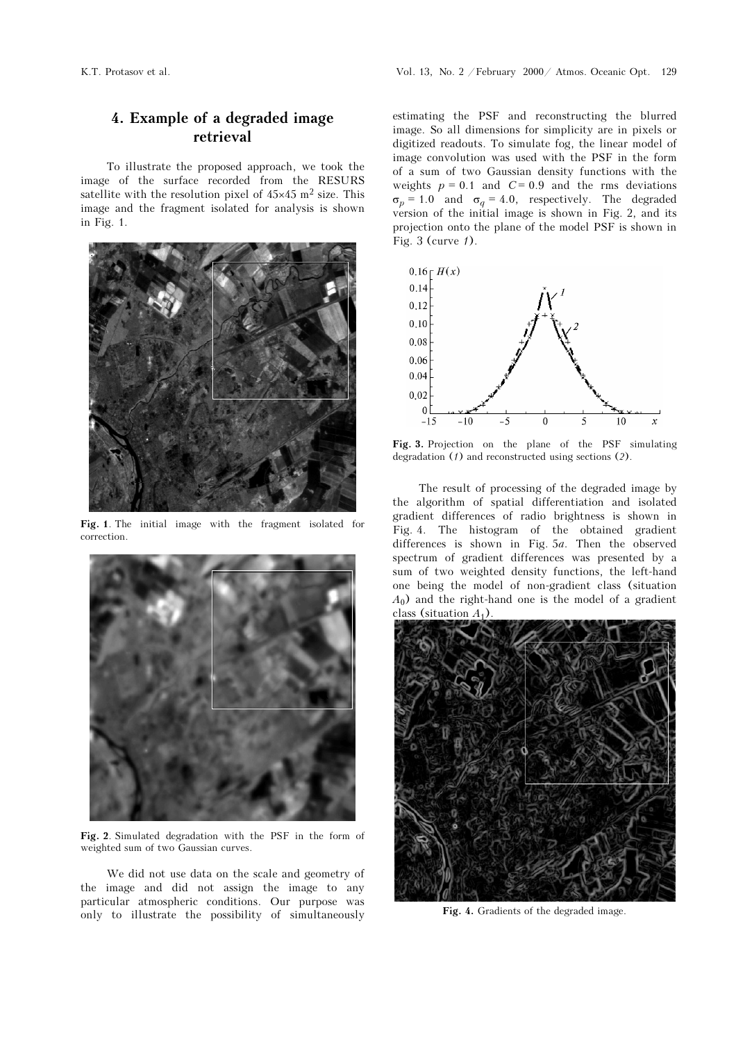# 4. Example of a degraded image retrieval

To illustrate the proposed approach, we took the image of the surface recorded from the RESURS satellite with the resolution pixel of  $45\times45$  m<sup>2</sup> size. This image and the fragment isolated for analysis is shown in Fig. 1.



Fig. 1. The initial image with the fragment isolated for correction.



Fig. 2. Simulated degradation with the PSF in the form of weighted sum of two Gaussian curves.

We did not use data on the scale and geometry of the image and did not assign the image to any particular atmospheric conditions. Our purpose was only to illustrate the possibility of simultaneously

estimating the PSF and reconstructing the blurred image. So all dimensions for simplicity are in pixels or digitized readouts. To simulate fog, the linear model of image convolution was used with the PSF in the form of a sum of two Gaussian density functions with the weights  $p = 0.1$  and  $C = 0.9$  and the rms deviations  $\sigma_p$  = 1.0 and  $\sigma_q$  = 4.0, respectively. The degraded version of the initial image is shown in Fig. 2, and its projection onto the plane of the model PSF is shown in Fig. 3 (curve 1).



Fig. 3. Projection on the plane of the PSF simulating degradation (1) and reconstructed using sections (2).

The result of processing of the degraded image by the algorithm of spatial differentiation and isolated gradient differences of radio brightness is shown in Fig. 4. The histogram of the obtained gradient differences is shown in Fig. 5a. Then the observed spectrum of gradient differences was presented by a sum of two weighted density functions, the left-hand one being the model of non-gradient class (situation  $A_0$ ) and the right-hand one is the model of a gradient class (situation  $A_1$ ).



Fig. 4. Gradients of the degraded image.